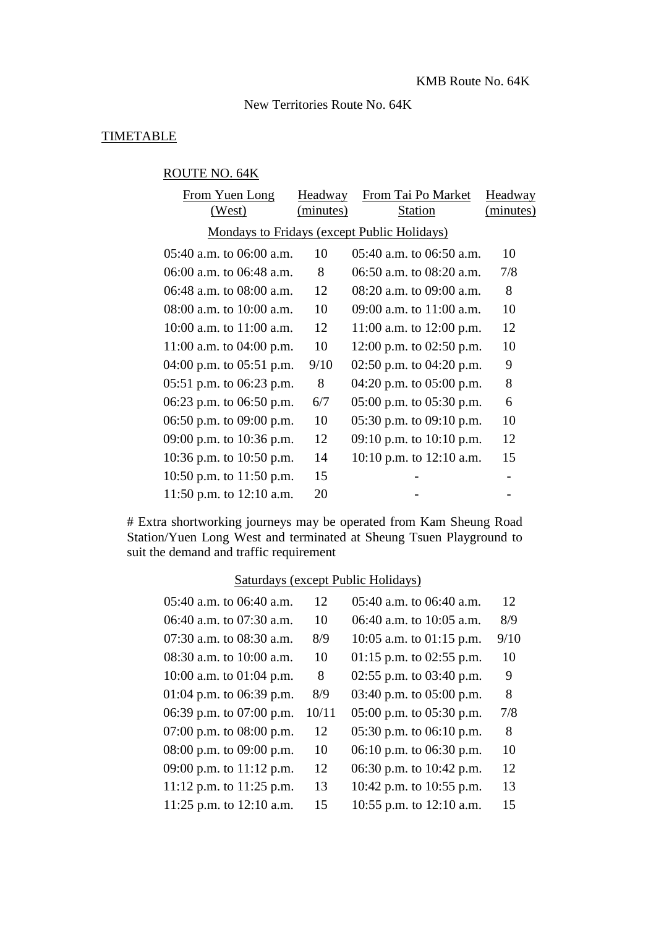New Territories Route No. 64K

# **TIMETABLE**

# ROUTE NO. 64K

| From Yuen Long               | Headway   | From Tai Po Market                          | Headway   |
|------------------------------|-----------|---------------------------------------------|-----------|
| (West)                       | (minutes) | <b>Station</b>                              | (minutes) |
|                              |           | Mondays to Fridays (except Public Holidays) |           |
| $05:40$ a.m. to $06:00$ a.m. | 10        | $05:40$ a.m. to $06:50$ a.m.                | 10        |
| 06:00 a.m. to 06:48 a.m.     | 8         | 06:50 a.m. to 08:20 a.m.                    | 7/8       |
| 06:48 a.m. to 08:00 a.m.     | 12        | 08:20 a.m. to 09:00 a.m.                    | 8         |
| $08:00$ a.m. to $10:00$ a.m. | 10        | 09:00 a.m. to 11:00 a.m.                    | 10        |
| 10:00 a.m. to $11:00$ a.m.   | 12        | 11:00 a.m. to 12:00 p.m.                    | 12        |
| 11:00 a.m. to 04:00 p.m.     | 10        | 12:00 p.m. to 02:50 p.m.                    | 10        |
| 04:00 p.m. to 05:51 p.m.     | 9/10      | 02:50 p.m. to $04:20$ p.m.                  | 9         |
| 05:51 p.m. to $06:23$ p.m.   | 8         | 04:20 p.m. to $05:00$ p.m.                  | 8         |
| 06:23 p.m. to 06:50 p.m.     | 6/7       | $05:00$ p.m. to $05:30$ p.m.                | 6         |
| 06:50 p.m. to $09:00$ p.m.   | 10        | 05:30 p.m. to $09:10$ p.m.                  | 10        |
| 09:00 p.m. to 10:36 p.m.     | 12        | 09:10 p.m. to $10:10$ p.m.                  | 12        |
| 10:36 p.m. to $10:50$ p.m.   | 14        | 10:10 p.m. to 12:10 a.m.                    | 15        |
| 10:50 p.m. to $11:50$ p.m.   | 15        |                                             |           |
| 11:50 p.m. to $12:10$ a.m.   | 20        |                                             |           |

# Extra shortworking journeys may be operated from Kam Sheung Road Station/Yuen Long West and terminated at Sheung Tsuen Playground to suit the demand and traffic requirement

# Saturdays (except Public Holidays)

| 05:40 a.m. to 06:40 a.m.   | 12    | 05:40 a.m. to 06:40 a.m.     | 12   |
|----------------------------|-------|------------------------------|------|
| 06:40 a.m. to 07:30 a.m.   | 10    | 06:40 a.m. to 10:05 a.m.     | 8/9  |
| 07:30 a.m. to 08:30 a.m.   | 8/9   | 10:05 a.m. to $01:15$ p.m.   | 9/10 |
| 08:30 a.m. to 10:00 a.m.   | 10    | $01:15$ p.m. to $02:55$ p.m. | 10   |
| 10:00 a.m. to $01:04$ p.m. | 8     | 02:55 p.m. to 03:40 p.m.     | 9    |
| 01:04 p.m. to 06:39 p.m.   | 8/9   | 03:40 p.m. to $05:00$ p.m.   | 8    |
| 06:39 p.m. to 07:00 p.m.   | 10/11 | $05:00$ p.m. to $05:30$ p.m. | 7/8  |
| 07:00 p.m. to 08:00 p.m.   | 12    | 05:30 p.m. to 06:10 p.m.     | 8    |
| 08:00 p.m. to 09:00 p.m.   | 10    | 06:10 p.m. to 06:30 p.m.     | 10   |
| 09:00 p.m. to 11:12 p.m.   | 12    | 06:30 p.m. to 10:42 p.m.     | 12   |
| 11:12 p.m. to $11:25$ p.m. | 13    | 10:42 p.m. to 10:55 p.m.     | 13   |
| 11:25 p.m. to $12:10$ a.m. | 15    | 10:55 p.m. to 12:10 a.m.     | 15   |
|                            |       |                              |      |